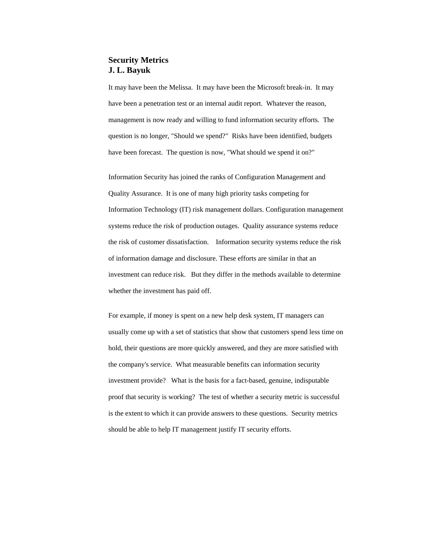# **Security Metrics J. L. Bayuk**

It may have been the Melissa. It may have been the Microsoft break-in. It may have been a penetration test or an internal audit report. Whatever the reason, management is now ready and willing to fund information security efforts. The question is no longer, "Should we spend?" Risks have been identified, budgets have been forecast. The question is now, "What should we spend it on?"

Information Security has joined the ranks of Configuration Management and Quality Assurance. It is one of many high priority tasks competing for Information Technology (IT) risk management dollars. Configuration management systems reduce the risk of production outages. Quality assurance systems reduce the risk of customer dissatisfaction. Information security systems reduce the risk of information damage and disclosure. These efforts are similar in that an investment can reduce risk. But they differ in the methods available to determine whether the investment has paid off.

For example, if money is spent on a new help desk system, IT managers can usually come up with a set of statistics that show that customers spend less time on hold, their questions are more quickly answered, and they are more satisfied with the company's service. What measurable benefits can information security investment provide? What is the basis for a fact-based, genuine, indisputable proof that security is working? The test of whether a security metric is successful is the extent to which it can provide answers to these questions. Security metrics should be able to help IT management justify IT security efforts.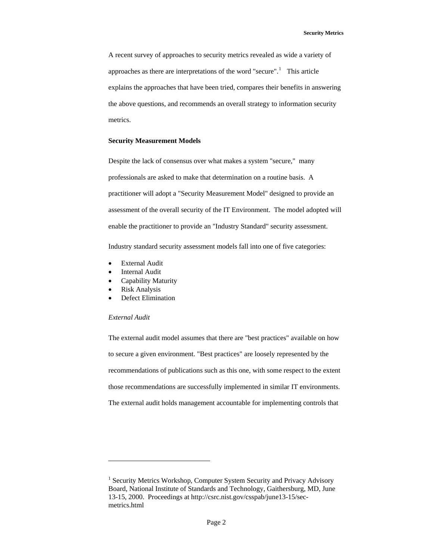A recent survey of approaches to security metrics revealed as wide a variety of approaches as there are interpretations of the word "secure".<sup>[1](#page-1-0)</sup> This article explains the approaches that have been tried, compares their benefits in answering the above questions, and recommends an overall strategy to information security metrics.

## **Security Measurement Models**

Despite the lack of consensus over what makes a system "secure," many professionals are asked to make that determination on a routine basis. A practitioner will adopt a "Security Measurement Model" designed to provide an assessment of the overall security of the IT Environment. The model adopted will enable the practitioner to provide an "Industry Standard" security assessment.

Industry standard security assessment models fall into one of five categories:

- **External Audit**
- **Internal Audit**
- Capability Maturity
- Risk Analysis
- Defect Elimination

## *External Audit*

-

The external audit model assumes that there are "best practices" available on how to secure a given environment. "Best practices" are loosely represented by the recommendations of publications such as this one, with some respect to the extent those recommendations are successfully implemented in similar IT environments. The external audit holds management accountable for implementing controls that

<span id="page-1-0"></span><sup>&</sup>lt;sup>1</sup> Security Metrics Workshop, Computer System Security and Privacy Advisory Board, National Institute of Standards and Technology, Gaithersburg, MD, June 13-15, 2000. Proceedings at http://csrc.nist.gov/csspab/june13-15/secmetrics.html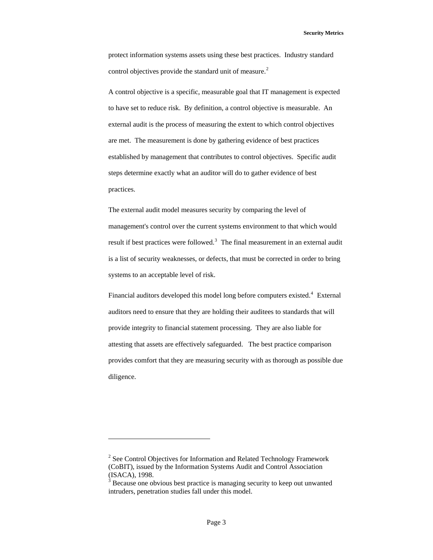protect information systems assets using these best practices. Industry standard control objectives provide the standard unit of measure. $2$ 

A control objective is a specific, measurable goal that IT management is expected to have set to reduce risk. By definition, a control objective is measurable. An external audit is the process of measuring the extent to which control objectives are met. The measurement is done by gathering evidence of best practices established by management that contributes to control objectives. Specific audit steps determine exactly what an auditor will do to gather evidence of best practices.

The external audit model measures security by comparing the level of management's control over the current systems environment to that which would result if best practices were followed.<sup>[3](#page-2-1)</sup> The final measurement in an external audit is a list of security weaknesses, or defects, that must be corrected in order to bring systems to an acceptable level of risk.

Financial auditors developed this model long before computers existed.<sup>[4](#page-2-2)</sup> External auditors need to ensure that they are holding their auditees to standards that will provide integrity to financial statement processing. They are also liable for attesting that assets are effectively safeguarded. The best practice comparison provides comfort that they are measuring security with as thorough as possible due diligence.

 $\overline{a}$ 

<span id="page-2-2"></span><span id="page-2-0"></span> $2^{2}$  See Control Objectives for Information and Related Technology Framework (CoBIT), issued by the Information Systems Audit and Control Association (ISACA), 1998.

<span id="page-2-1"></span><sup>&</sup>lt;sup>3</sup> Because one obvious best practice is managing security to keep out unwanted intruders, penetration studies fall under this model.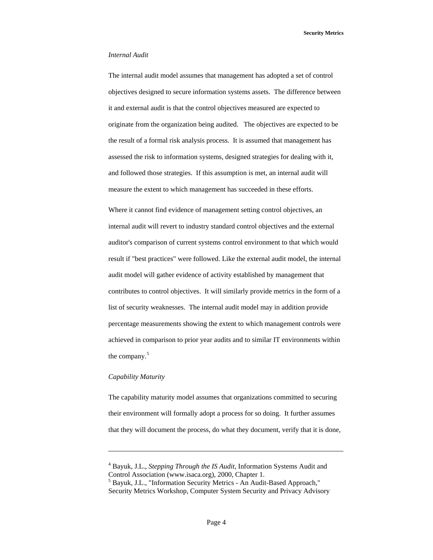**Security Metrics** 

## *Internal Audit*

The internal audit model assumes that management has adopted a set of control objectives designed to secure information systems assets. The difference between it and external audit is that the control objectives measured are expected to originate from the organization being audited. The objectives are expected to be the result of a formal risk analysis process. It is assumed that management has assessed the risk to information systems, designed strategies for dealing with it, and followed those strategies. If this assumption is met, an internal audit will measure the extent to which management has succeeded in these efforts.

Where it cannot find evidence of management setting control objectives, an internal audit will revert to industry standard control objectives and the external auditor's comparison of current systems control environment to that which would result if "best practices" were followed. Like the external audit model, the internal audit model will gather evidence of activity established by management that contributes to control objectives. It will similarly provide metrics in the form of a list of security weaknesses. The internal audit model may in addition provide percentage measurements showing the extent to which management controls were achieved in comparison to prior year audits and to similar IT environments within the company.<sup>[5](#page-3-0)</sup>

## *Capability Maturity*

l

The capability maturity model assumes that organizations committed to securing their environment will formally adopt a process for so doing. It further assumes that they will document the process, do what they document, verify that it is done,

<sup>4</sup> Bayuk, J.L., *Stepping Through the IS Audit*, Information Systems Audit and Control Association (www.isaca.org), 2000, Chapter 1.

<span id="page-3-0"></span><sup>5</sup> Bayuk, J.L., "Information Security Metrics - An Audit-Based Approach," Security Metrics Workshop, Computer System Security and Privacy Advisory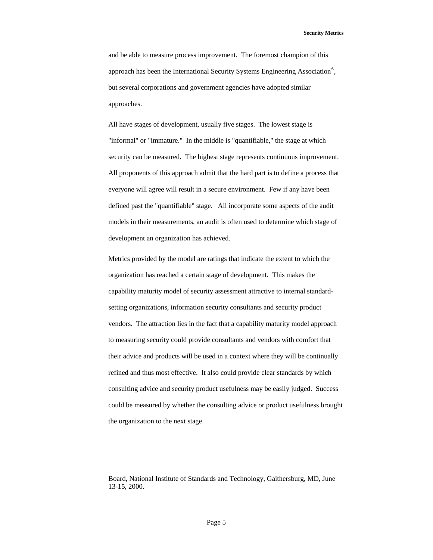**Security Metrics** 

and be able to measure process improvement. The foremost champion of this approach has been the International Security Systems Engineering Association<sup>[6](#page-4-0)</sup>, but several corporations and government agencies have adopted similar approaches.

All have stages of development, usually five stages. The lowest stage is "informal" or "immature." In the middle is "quantifiable," the stage at which security can be measured. The highest stage represents continuous improvement. All proponents of this approach admit that the hard part is to define a process that everyone will agree will result in a secure environment. Few if any have been defined past the "quantifiable" stage. All incorporate some aspects of the audit models in their measurements, an audit is often used to determine which stage of development an organization has achieved.

Metrics provided by the model are ratings that indicate the extent to which the organization has reached a certain stage of development. This makes the capability maturity model of security assessment attractive to internal standardsetting organizations, information security consultants and security product vendors. The attraction lies in the fact that a capability maturity model approach to measuring security could provide consultants and vendors with comfort that their advice and products will be used in a context where they will be continually refined and thus most effective. It also could provide clear standards by which consulting advice and security product usefulness may be easily judged. Success could be measured by whether the consulting advice or product usefulness brought the organization to the next stage.

l

<span id="page-4-0"></span>Board, National Institute of Standards and Technology, Gaithersburg, MD, June 13-15, 2000.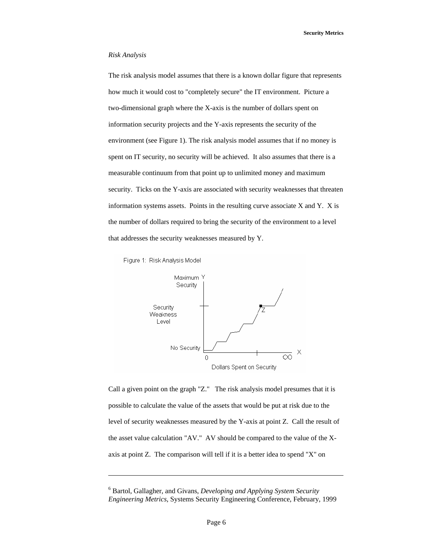## *Risk Analysis*

The risk analysis model assumes that there is a known dollar figure that represents how much it would cost to "completely secure" the IT environment. Picture a two-dimensional graph where the X-axis is the number of dollars spent on information security projects and the Y-axis represents the security of the environment (see Figure 1). The risk analysis model assumes that if no money is spent on IT security, no security will be achieved. It also assumes that there is a measurable continuum from that point up to unlimited money and maximum security. Ticks on the Y-axis are associated with security weaknesses that threaten information systems assets. Points in the resulting curve associate  $X$  and  $Y$ .  $X$  is the number of dollars required to bring the security of the environment to a level that addresses the security weaknesses measured by Y.



l



Call a given point on the graph "Z." The risk analysis model presumes that it is possible to calculate the value of the assets that would be put at risk due to the level of security weaknesses measured by the Y-axis at point Z. Call the result of the asset value calculation "AV." AV should be compared to the value of the Xaxis at point Z. The comparison will tell if it is a better idea to spend "X" on

<sup>6</sup> Bartol, Gallagher, and Givans, *Developing and Applying System Security Engineering Metrics*, Systems Security Engineering Conference, February, 1999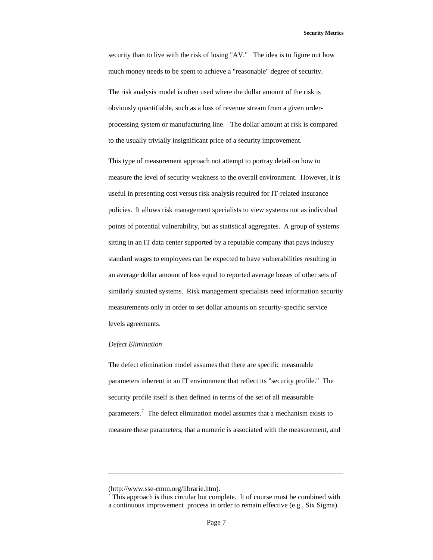security than to live with the risk of losing "AV." The idea is to figure out how much money needs to be spent to achieve a "reasonable" degree of security.

The risk analysis model is often used where the dollar amount of the risk is obviously quantifiable, such as a loss of revenue stream from a given orderprocessing system or manufacturing line. The dollar amount at risk is compared to the usually trivially insignificant price of a security improvement.

This type of measurement approach not attempt to portray detail on how to measure the level of security weakness to the overall environment. However, it is useful in presenting cost versus risk analysis required for IT-related insurance policies. It allows risk management specialists to view systems not as individual points of potential vulnerability, but as statistical aggregates. A group of systems sitting in an IT data center supported by a reputable company that pays industry standard wages to employees can be expected to have vulnerabilities resulting in an average dollar amount of loss equal to reported average losses of other sets of similarly situated systems. Risk management specialists need information security measurements only in order to set dollar amounts on security-specific service levels agreements.

#### *Defect Elimination*

l

The defect elimination model assumes that there are specific measurable parameters inherent in an IT environment that reflect its "security profile." The security profile itself is then defined in terms of the set of all measurable parameters.<sup>[7](#page-6-0)</sup> The defect elimination model assumes that a mechanism exists to measure these parameters, that a numeric is associated with the measurement, and

<span id="page-6-0"></span><sup>(</sup>http://www.sse-cmm.org/librarie.htm).

 $7$  This approach is thus circular but complete. It of course must be combined with a continuous improvement process in order to remain effective (e.g., Six Sigma).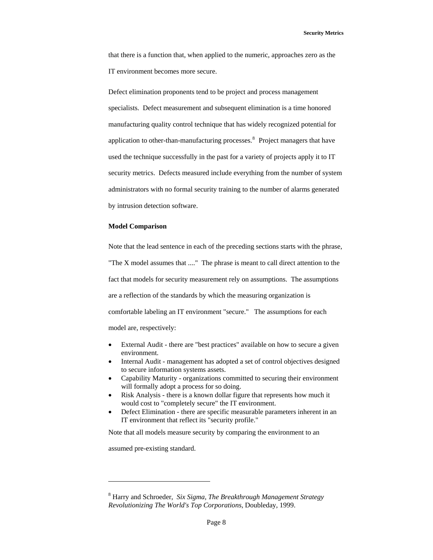that there is a function that, when applied to the numeric, approaches zero as the IT environment becomes more secure.

Defect elimination proponents tend to be project and process management specialists. Defect measurement and subsequent elimination is a time honored manufacturing quality control technique that has widely recognized potential for application to other-than-manufacturing processes. $8$  Project managers that have used the technique successfully in the past for a variety of projects apply it to IT security metrics. Defects measured include everything from the number of system administrators with no formal security training to the number of alarms generated by intrusion detection software.

## **Model Comparison**

Note that the lead sentence in each of the preceding sections starts with the phrase, "The X model assumes that ...." The phrase is meant to call direct attention to the fact that models for security measurement rely on assumptions. The assumptions are a reflection of the standards by which the measuring organization is comfortable labeling an IT environment "secure." The assumptions for each model are, respectively:

- External Audit there are "best practices" available on how to secure a given environment.
- Internal Audit management has adopted a set of control objectives designed to secure information systems assets.
- Capability Maturity organizations committed to securing their environment will formally adopt a process for so doing.
- Risk Analysis there is a known dollar figure that represents how much it would cost to "completely secure" the IT environment.
- Defect Elimination there are specific measurable parameters inherent in an IT environment that reflect its "security profile."

Note that all models measure security by comparing the environment to an

assumed pre-existing standard.

 $\overline{a}$ 

<span id="page-7-0"></span><sup>8</sup> Harry and Schroeder, *Six Sigma, The Breakthrough Management Strategy Revolutionizing The World's Top Corporations*, Doubleday, 1999.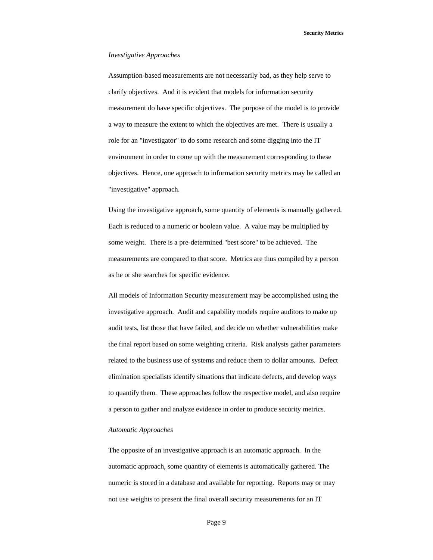**Security Metrics** 

#### *Investigative Approaches*

Assumption-based measurements are not necessarily bad, as they help serve to clarify objectives. And it is evident that models for information security measurement do have specific objectives. The purpose of the model is to provide a way to measure the extent to which the objectives are met. There is usually a role for an "investigator" to do some research and some digging into the IT environment in order to come up with the measurement corresponding to these objectives. Hence, one approach to information security metrics may be called an "investigative" approach.

Using the investigative approach, some quantity of elements is manually gathered. Each is reduced to a numeric or boolean value. A value may be multiplied by some weight. There is a pre-determined "best score" to be achieved. The measurements are compared to that score. Metrics are thus compiled by a person as he or she searches for specific evidence.

All models of Information Security measurement may be accomplished using the investigative approach. Audit and capability models require auditors to make up audit tests, list those that have failed, and decide on whether vulnerabilities make the final report based on some weighting criteria. Risk analysts gather parameters related to the business use of systems and reduce them to dollar amounts. Defect elimination specialists identify situations that indicate defects, and develop ways to quantify them. These approaches follow the respective model, and also require a person to gather and analyze evidence in order to produce security metrics.

#### *Automatic Approaches*

The opposite of an investigative approach is an automatic approach. In the automatic approach, some quantity of elements is automatically gathered. The numeric is stored in a database and available for reporting. Reports may or may not use weights to present the final overall security measurements for an IT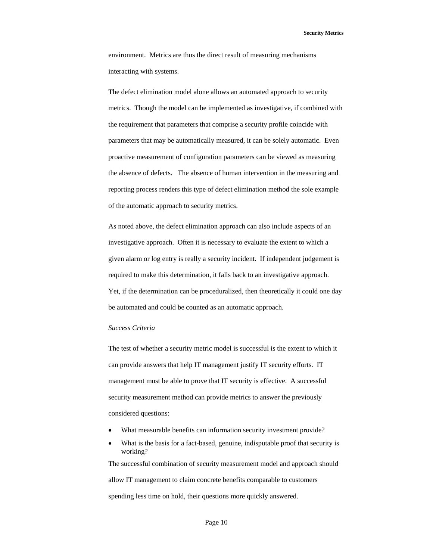environment. Metrics are thus the direct result of measuring mechanisms interacting with systems.

The defect elimination model alone allows an automated approach to security metrics. Though the model can be implemented as investigative, if combined with the requirement that parameters that comprise a security profile coincide with parameters that may be automatically measured, it can be solely automatic. Even proactive measurement of configuration parameters can be viewed as measuring the absence of defects. The absence of human intervention in the measuring and reporting process renders this type of defect elimination method the sole example of the automatic approach to security metrics.

As noted above, the defect elimination approach can also include aspects of an investigative approach. Often it is necessary to evaluate the extent to which a given alarm or log entry is really a security incident. If independent judgement is required to make this determination, it falls back to an investigative approach. Yet, if the determination can be proceduralized, then theoretically it could one day be automated and could be counted as an automatic approach.

#### *Success Criteria*

The test of whether a security metric model is successful is the extent to which it can provide answers that help IT management justify IT security efforts. IT management must be able to prove that IT security is effective. A successful security measurement method can provide metrics to answer the previously considered questions:

- What measurable benefits can information security investment provide?
- What is the basis for a fact-based, genuine, indisputable proof that security is working? The successful combination of security measurement model and approach should

allow IT management to claim concrete benefits comparable to customers spending less time on hold, their questions more quickly answered.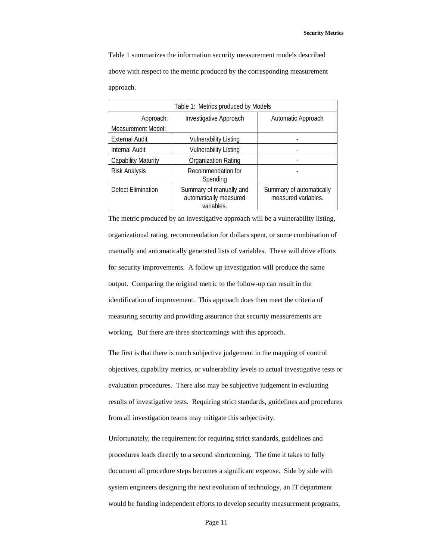Table 1 summarizes the information security measurement models described above with respect to the metric produced by the corresponding measurement approach.

| Table 1: Metrics produced by Models |                                                                 |                                                 |  |
|-------------------------------------|-----------------------------------------------------------------|-------------------------------------------------|--|
| Approach:                           | Investigative Approach                                          | Automatic Approach                              |  |
| Measurement Model:                  |                                                                 |                                                 |  |
| <b>External Audit</b>               | <b>Vulnerability Listing</b>                                    |                                                 |  |
| <b>Internal Audit</b>               | <b>Vulnerability Listing</b>                                    |                                                 |  |
| <b>Capability Maturity</b>          | Organization Rating                                             |                                                 |  |
| Risk Analysis                       | Recommendation for<br>Spending                                  |                                                 |  |
| Defect Elimination                  | Summary of manually and<br>automatically measured<br>variables. | Summary of automatically<br>measured variables. |  |

The metric produced by an investigative approach will be a vulnerability listing, organizational rating, recommendation for dollars spent, or some combination of manually and automatically generated lists of variables. These will drive efforts for security improvements. A follow up investigation will produce the same output. Comparing the original metric to the follow-up can result in the identification of improvement. This approach does then meet the criteria of measuring security and providing assurance that security measurements are working. But there are three shortcomings with this approach.

The first is that there is much subjective judgement in the mapping of control objectives, capability metrics, or vulnerability levels to actual investigative tests or evaluation procedures. There also may be subjective judgement in evaluating results of investigative tests. Requiring strict standards, guidelines and procedures from all investigation teams may mitigate this subjectivity.

Unfortunately, the requirement for requiring strict standards, guidelines and procedures leads directly to a second shortcoming. The time it takes to fully document all procedure steps becomes a significant expense. Side by side with system engineers designing the next evolution of technology, an IT department would be funding independent efforts to develop security measurement programs,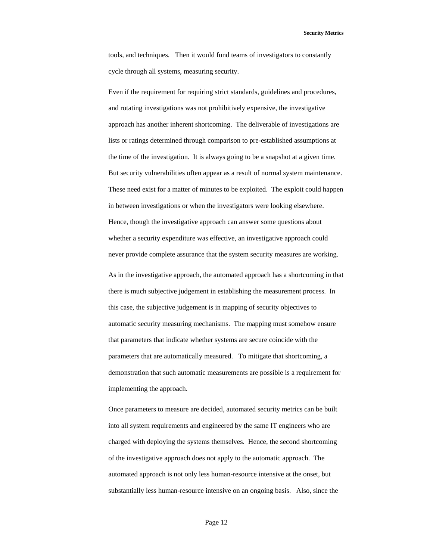**Security Metrics** 

tools, and techniques. Then it would fund teams of investigators to constantly cycle through all systems, measuring security.

Even if the requirement for requiring strict standards, guidelines and procedures, and rotating investigations was not prohibitively expensive, the investigative approach has another inherent shortcoming. The deliverable of investigations are lists or ratings determined through comparison to pre-established assumptions at the time of the investigation. It is always going to be a snapshot at a given time. But security vulnerabilities often appear as a result of normal system maintenance. These need exist for a matter of minutes to be exploited. The exploit could happen in between investigations or when the investigators were looking elsewhere. Hence, though the investigative approach can answer some questions about whether a security expenditure was effective, an investigative approach could never provide complete assurance that the system security measures are working.

As in the investigative approach, the automated approach has a shortcoming in that there is much subjective judgement in establishing the measurement process. In this case, the subjective judgement is in mapping of security objectives to automatic security measuring mechanisms. The mapping must somehow ensure that parameters that indicate whether systems are secure coincide with the parameters that are automatically measured. To mitigate that shortcoming, a demonstration that such automatic measurements are possible is a requirement for implementing the approach.

Once parameters to measure are decided, automated security metrics can be built into all system requirements and engineered by the same IT engineers who are charged with deploying the systems themselves. Hence, the second shortcoming of the investigative approach does not apply to the automatic approach. The automated approach is not only less human-resource intensive at the onset, but substantially less human-resource intensive on an ongoing basis. Also, since the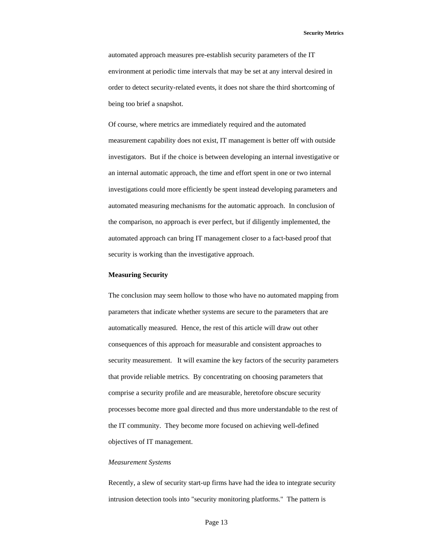automated approach measures pre-establish security parameters of the IT environment at periodic time intervals that may be set at any interval desired in order to detect security-related events, it does not share the third shortcoming of being too brief a snapshot.

Of course, where metrics are immediately required and the automated measurement capability does not exist, IT management is better off with outside investigators. But if the choice is between developing an internal investigative or an internal automatic approach, the time and effort spent in one or two internal investigations could more efficiently be spent instead developing parameters and automated measuring mechanisms for the automatic approach. In conclusion of the comparison, no approach is ever perfect, but if diligently implemented, the automated approach can bring IT management closer to a fact-based proof that security is working than the investigative approach.

## **Measuring Security**

The conclusion may seem hollow to those who have no automated mapping from parameters that indicate whether systems are secure to the parameters that are automatically measured. Hence, the rest of this article will draw out other consequences of this approach for measurable and consistent approaches to security measurement. It will examine the key factors of the security parameters that provide reliable metrics. By concentrating on choosing parameters that comprise a security profile and are measurable, heretofore obscure security processes become more goal directed and thus more understandable to the rest of the IT community. They become more focused on achieving well-defined objectives of IT management.

## *Measurement Systems*

Recently, a slew of security start-up firms have had the idea to integrate security intrusion detection tools into "security monitoring platforms." The pattern is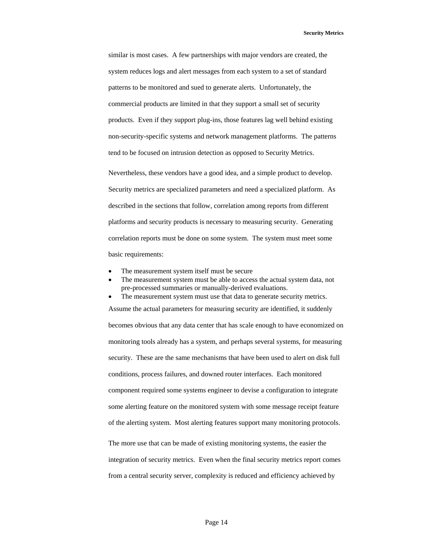similar is most cases. A few partnerships with major vendors are created, the system reduces logs and alert messages from each system to a set of standard patterns to be monitored and sued to generate alerts. Unfortunately, the commercial products are limited in that they support a small set of security products. Even if they support plug-ins, those features lag well behind existing non-security-specific systems and network management platforms. The patterns tend to be focused on intrusion detection as opposed to Security Metrics.

Nevertheless, these vendors have a good idea, and a simple product to develop. Security metrics are specialized parameters and need a specialized platform. As described in the sections that follow, correlation among reports from different platforms and security products is necessary to measuring security. Generating correlation reports must be done on some system. The system must meet some basic requirements:

- The measurement system itself must be secure
- The measurement system must be able to access the actual system data, not pre-processed summaries or manually-derived evaluations.

The measurement system must use that data to generate security metrics. Assume the actual parameters for measuring security are identified, it suddenly becomes obvious that any data center that has scale enough to have economized on monitoring tools already has a system, and perhaps several systems, for measuring security. These are the same mechanisms that have been used to alert on disk full conditions, process failures, and downed router interfaces. Each monitored component required some systems engineer to devise a configuration to integrate some alerting feature on the monitored system with some message receipt feature of the alerting system. Most alerting features support many monitoring protocols. The more use that can be made of existing monitoring systems, the easier the integration of security metrics. Even when the final security metrics report comes from a central security server, complexity is reduced and efficiency achieved by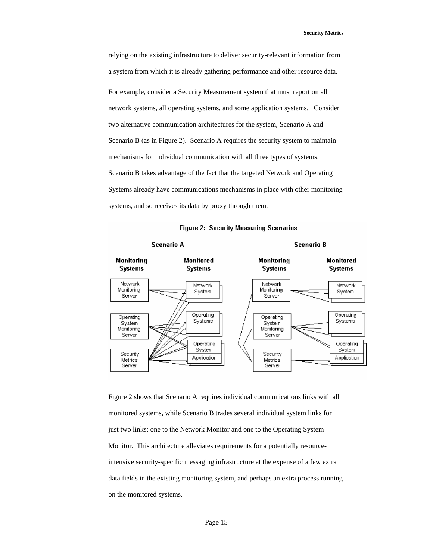relying on the existing infrastructure to deliver security-relevant information from a system from which it is already gathering performance and other resource data. For example, consider a Security Measurement system that must report on all network systems, all operating systems, and some application systems. Consider two alternative communication architectures for the system, Scenario A and Scenario B (as in Figure 2). Scenario A requires the security system to maintain mechanisms for individual communication with all three types of systems. Scenario B takes advantage of the fact that the targeted Network and Operating Systems already have communications mechanisms in place with other monitoring systems, and so receives its data by proxy through them.



#### **Figure 2: Security Measuring Scenarios**

Figure 2 shows that Scenario A requires individual communications links with all monitored systems, while Scenario B trades several individual system links for just two links: one to the Network Monitor and one to the Operating System Monitor. This architecture alleviates requirements for a potentially resourceintensive security-specific messaging infrastructure at the expense of a few extra data fields in the existing monitoring system, and perhaps an extra process running on the monitored systems.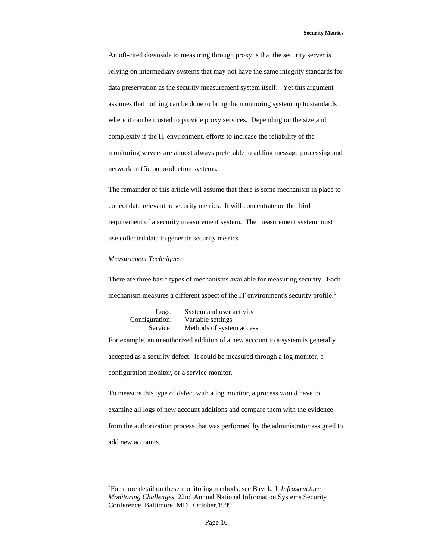An oft-cited downside to measuring through proxy is that the security server is relying on intermediary systems that may not have the same integrity standards for data preservation as the security measurement system itself. Yet this argument assumes that nothing can be done to bring the monitoring system up to standards where it can be trusted to provide proxy services. Depending on the size and complexity if the IT environment, efforts to increase the reliability of the monitoring servers are almost always preferable to adding message processing and network traffic on production systems.

The remainder of this article will assume that there is some mechanism in place to collect data relevant to security metrics. It will concentrate on the third requirement of a security measurement system. The measurement system must use collected data to generate security metrics

### *Measurement Techniques*

-

There are three basic types of mechanisms available for measuring security. Each mechanism measures a different aspect of the IT environment's security profile.<sup>[9](#page-15-0)</sup>

| Logs:          | System and user activity |
|----------------|--------------------------|
| Configuration: | Variable settings        |
| Service:       | Methods of system access |

For example, an unauthorized addition of a new account to a system is generally accepted as a security defect. It could be measured through a log monitor, a configuration monitor, or a service monitor.

To measure this type of defect with a log monitor, a process would have to examine all logs of new account additions and compare them with the evidence from the authorization process that was performed by the administrator assigned to add new accounts.

<span id="page-15-0"></span><sup>9</sup> For more detail on these monitoring methods, see Bayuk, J*. Infrastructure Monitoring Challenges*, 22nd Annual National Information Systems Security Conference. Baltimore, MD, October,1999.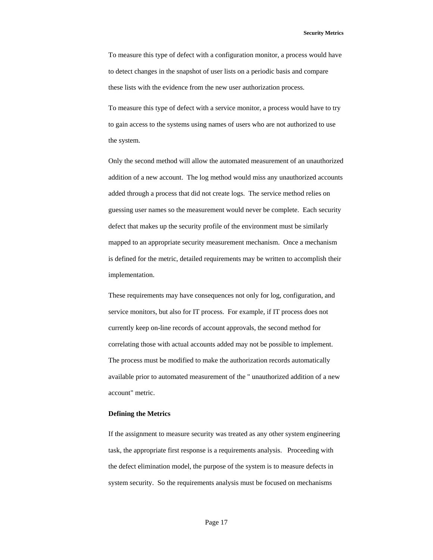To measure this type of defect with a configuration monitor, a process would have to detect changes in the snapshot of user lists on a periodic basis and compare these lists with the evidence from the new user authorization process.

To measure this type of defect with a service monitor, a process would have to try to gain access to the systems using names of users who are not authorized to use the system.

Only the second method will allow the automated measurement of an unauthorized addition of a new account. The log method would miss any unauthorized accounts added through a process that did not create logs. The service method relies on guessing user names so the measurement would never be complete. Each security defect that makes up the security profile of the environment must be similarly mapped to an appropriate security measurement mechanism. Once a mechanism is defined for the metric, detailed requirements may be written to accomplish their implementation.

These requirements may have consequences not only for log, configuration, and service monitors, but also for IT process. For example, if IT process does not currently keep on-line records of account approvals, the second method for correlating those with actual accounts added may not be possible to implement. The process must be modified to make the authorization records automatically available prior to automated measurement of the " unauthorized addition of a new account" metric.

#### **Defining the Metrics**

If the assignment to measure security was treated as any other system engineering task, the appropriate first response is a requirements analysis. Proceeding with the defect elimination model, the purpose of the system is to measure defects in system security. So the requirements analysis must be focused on mechanisms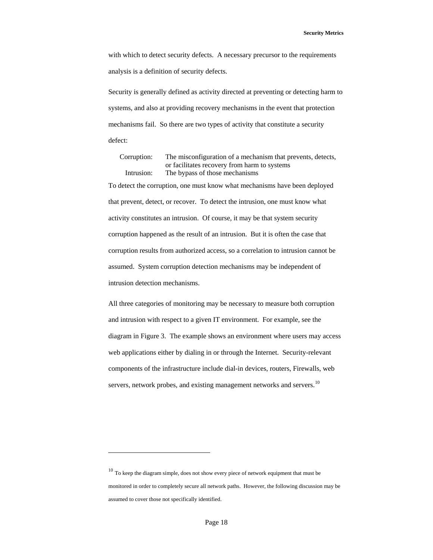with which to detect security defects. A necessary precursor to the requirements analysis is a definition of security defects.

Security is generally defined as activity directed at preventing or detecting harm to systems, and also at providing recovery mechanisms in the event that protection mechanisms fail. So there are two types of activity that constitute a security defect:

 Corruption: The misconfiguration of a mechanism that prevents, detects, or facilitates recovery from harm to systems Intrusion: The bypass of those mechanisms

To detect the corruption, one must know what mechanisms have been deployed that prevent, detect, or recover. To detect the intrusion, one must know what activity constitutes an intrusion. Of course, it may be that system security corruption happened as the result of an intrusion. But it is often the case that corruption results from authorized access, so a correlation to intrusion cannot be assumed. System corruption detection mechanisms may be independent of intrusion detection mechanisms.

All three categories of monitoring may be necessary to measure both corruption and intrusion with respect to a given IT environment. For example, see the diagram in Figure 3. The example shows an environment where users may access web applications either by dialing in or through the Internet. Security-relevant components of the infrastructure include dial-in devices, routers, Firewalls, web servers, network probes, and existing management networks and servers.<sup>[10](#page-17-0)</sup>

 $\overline{a}$ 

<span id="page-17-0"></span><sup>&</sup>lt;sup>10</sup> To keep the diagram simple, does not show every piece of network equipment that must be monitored in order to completely secure all network paths. However, the following discussion may be assumed to cover those not specifically identified.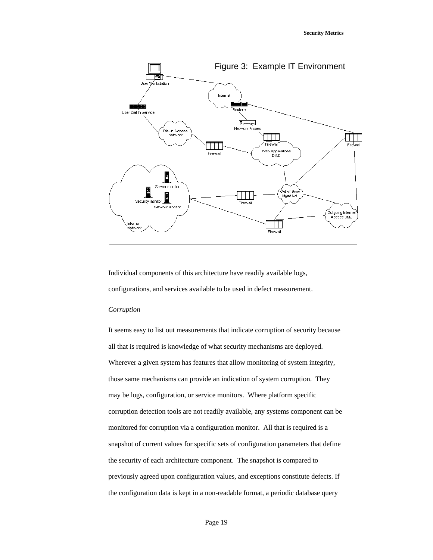

Individual components of this architecture have readily available logs, configurations, and services available to be used in defect measurement.

## *Corruption*

It seems easy to list out measurements that indicate corruption of security because all that is required is knowledge of what security mechanisms are deployed. Wherever a given system has features that allow monitoring of system integrity, those same mechanisms can provide an indication of system corruption. They may be logs, configuration, or service monitors. Where platform specific corruption detection tools are not readily available, any systems component can be monitored for corruption via a configuration monitor. All that is required is a snapshot of current values for specific sets of configuration parameters that define the security of each architecture component. The snapshot is compared to previously agreed upon configuration values, and exceptions constitute defects. If the configuration data is kept in a non-readable format, a periodic database query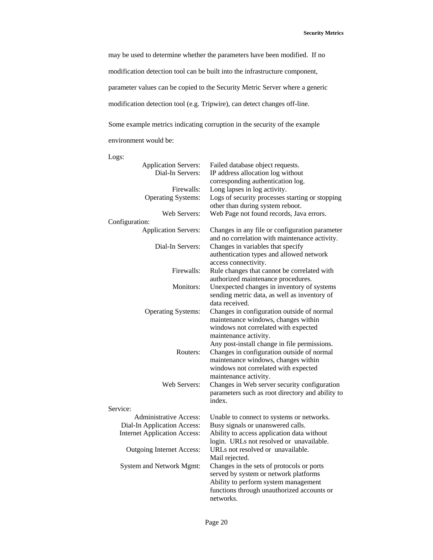may be used to determine whether the parameters have been modified. If no modification detection tool can be built into the infrastructure component, parameter values can be copied to the Security Metric Server where a generic modification detection tool (e.g. Tripwire), can detect changes off-line.

Some example metrics indicating corruption in the security of the example environment would be:

Logs:

| <b>Application Servers:</b>         | Failed database object requests.                 |
|-------------------------------------|--------------------------------------------------|
| Dial-In Servers:                    | IP address allocation log without                |
|                                     | corresponding authentication log.                |
| Firewalls:                          | Long lapses in log activity.                     |
| <b>Operating Systems:</b>           | Logs of security processes starting or stopping  |
|                                     | other than during system reboot.                 |
| Web Servers:                        | Web Page not found records, Java errors.         |
| Configuration:                      |                                                  |
| <b>Application Servers:</b>         | Changes in any file or configuration parameter   |
|                                     | and no correlation with maintenance activity.    |
| Dial-In Servers:                    | Changes in variables that specify                |
|                                     | authentication types and allowed network         |
|                                     | access connectivity.                             |
| Firewalls:                          | Rule changes that cannot be correlated with      |
|                                     | authorized maintenance procedures.               |
| Monitors:                           | Unexpected changes in inventory of systems       |
|                                     | sending metric data, as well as inventory of     |
|                                     | data received.                                   |
| <b>Operating Systems:</b>           | Changes in configuration outside of normal       |
|                                     | maintenance windows, changes within              |
|                                     | windows not correlated with expected             |
|                                     | maintenance activity.                            |
|                                     | Any post-install change in file permissions.     |
| Routers:                            | Changes in configuration outside of normal       |
|                                     | maintenance windows, changes within              |
|                                     | windows not correlated with expected             |
|                                     | maintenance activity.                            |
| Web Servers:                        | Changes in Web server security configuration     |
|                                     | parameters such as root directory and ability to |
|                                     | index.                                           |
| Service:                            |                                                  |
| <b>Administrative Access:</b>       | Unable to connect to systems or networks.        |
| Dial-In Application Access:         | Busy signals or unanswered calls.                |
| <b>Internet Application Access:</b> | Ability to access application data without       |
|                                     | login. URLs not resolved or unavailable.         |
| <b>Outgoing Internet Access:</b>    | URLs not resolved or unavailable.                |
|                                     | Mail rejected.                                   |
| System and Network Mgmt:            | Changes in the sets of protocols or ports        |
|                                     | served by system or network platforms            |
|                                     | Ability to perform system management             |
|                                     | functions through unauthorized accounts or       |
|                                     | networks.                                        |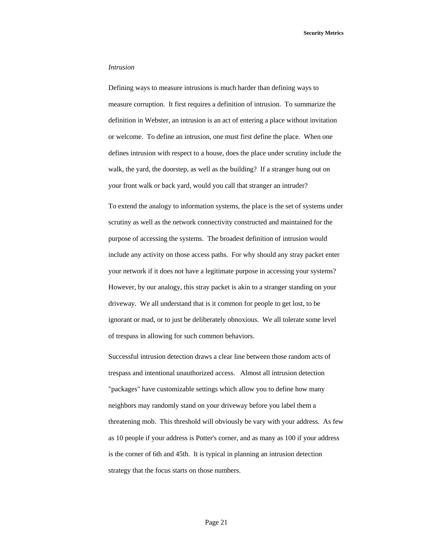## *Intrusion*

Defining ways to measure intrusions is much harder than defining ways to measure corruption. It first requires a definition of intrusion. To summarize the definition in Webster, an intrusion is an act of entering a place without invitation or welcome. To define an intrusion, one must first define the place. When one defines intrusion with respect to a house, does the place under scrutiny include the walk, the yard, the doorstep, as well as the building? If a stranger hung out on your front walk or back yard, would you call that stranger an intruder?

To extend the analogy to information systems, the place is the set of systems under scrutiny as well as the network connectivity constructed and maintained for the purpose of accessing the systems. The broadest definition of intrusion would include any activity on those access paths. For why should any stray packet enter your network if it does not have a legitimate purpose in accessing your systems? However, by our analogy, this stray packet is akin to a stranger standing on your driveway. We all understand that is it common for people to get lost, to be ignorant or mad, or to just be deliberately obnoxious. We all tolerate some level of trespass in allowing for such common behaviors.

Successful intrusion detection draws a clear line between those random acts of trespass and intentional unauthorized access. Almost all intrusion detection "packages" have customizable settings which allow you to define how many neighbors may randomly stand on your driveway before you label them a threatening mob. This threshold will obviously be vary with your address. As few as 10 people if your address is Potter's corner, and as many as 100 if your address is the corner of 6th and 45th. It is typical in planning an intrusion detection strategy that the focus starts on those numbers.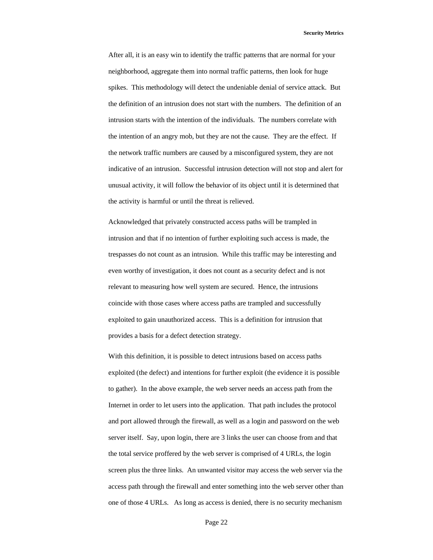After all, it is an easy win to identify the traffic patterns that are normal for your neighborhood, aggregate them into normal traffic patterns, then look for huge spikes. This methodology will detect the undeniable denial of service attack. But the definition of an intrusion does not start with the numbers. The definition of an intrusion starts with the intention of the individuals. The numbers correlate with the intention of an angry mob, but they are not the cause. They are the effect. If the network traffic numbers are caused by a misconfigured system, they are not indicative of an intrusion. Successful intrusion detection will not stop and alert for unusual activity, it will follow the behavior of its object until it is determined that the activity is harmful or until the threat is relieved.

Acknowledged that privately constructed access paths will be trampled in intrusion and that if no intention of further exploiting such access is made, the trespasses do not count as an intrusion. While this traffic may be interesting and even worthy of investigation, it does not count as a security defect and is not relevant to measuring how well system are secured. Hence, the intrusions coincide with those cases where access paths are trampled and successfully exploited to gain unauthorized access. This is a definition for intrusion that provides a basis for a defect detection strategy.

With this definition, it is possible to detect intrusions based on access paths exploited (the defect) and intentions for further exploit (the evidence it is possible to gather). In the above example, the web server needs an access path from the Internet in order to let users into the application. That path includes the protocol and port allowed through the firewall, as well as a login and password on the web server itself. Say, upon login, there are 3 links the user can choose from and that the total service proffered by the web server is comprised of 4 URLs, the login screen plus the three links. An unwanted visitor may access the web server via the access path through the firewall and enter something into the web server other than one of those 4 URLs. As long as access is denied, there is no security mechanism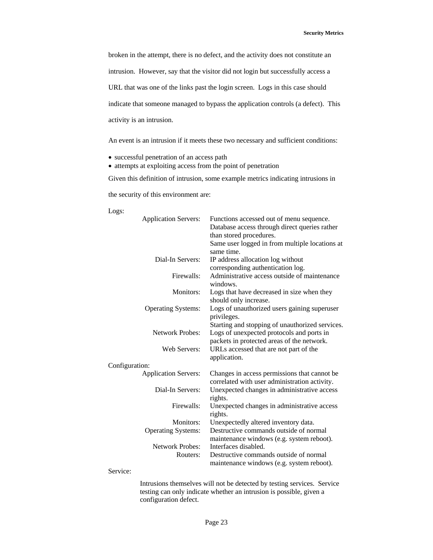broken in the attempt, there is no defect, and the activity does not constitute an

intrusion. However, say that the visitor did not login but successfully access a

URL that was one of the links past the login screen. Logs in this case should

indicate that someone managed to bypass the application controls (a defect). This

activity is an intrusion.

An event is an intrusion if it meets these two necessary and sufficient conditions:

- successful penetration of an access path
- attempts at exploiting access from the point of penetration

Given this definition of intrusion, some example metrics indicating intrusions in

the security of this environment are:

Logs:

| <b>Application Servers:</b> | Functions accessed out of menu sequence.<br>Database access through direct queries rather     |
|-----------------------------|-----------------------------------------------------------------------------------------------|
|                             | than stored procedures.                                                                       |
|                             | Same user logged in from multiple locations at<br>same time.                                  |
| Dial-In Servers:            | IP address allocation log without                                                             |
|                             | corresponding authentication log.                                                             |
| Firewalls:                  | Administrative access outside of maintenance                                                  |
|                             | windows.                                                                                      |
| Monitors:                   | Logs that have decreased in size when they                                                    |
|                             | should only increase.                                                                         |
| <b>Operating Systems:</b>   | Logs of unauthorized users gaining superuser<br>privileges.                                   |
|                             | Starting and stopping of unauthorized services.                                               |
| <b>Network Probes:</b>      | Logs of unexpected protocols and ports in                                                     |
|                             | packets in protected areas of the network.                                                    |
| Web Servers:                | URLs accessed that are not part of the<br>application.                                        |
| Configuration:              |                                                                                               |
| <b>Application Servers:</b> | Changes in access permissions that cannot be<br>correlated with user administration activity. |
| Dial-In Servers:            | Unexpected changes in administrative access<br>rights.                                        |
| Firewalls:                  | Unexpected changes in administrative access                                                   |
|                             | rights.                                                                                       |
| Monitors:                   | Unexpectedly altered inventory data.                                                          |
| <b>Operating Systems:</b>   | Destructive commands outside of normal                                                        |
|                             | maintenance windows (e.g. system reboot).                                                     |
| <b>Network Probes:</b>      | Interfaces disabled.                                                                          |
| Routers:                    | Destructive commands outside of normal                                                        |
|                             | maintenance windows (e.g. system reboot).                                                     |
| $\mathbf{C}$ orvice         |                                                                                               |

Service:

Intrusions themselves will not be detected by testing services. Service testing can only indicate whether an intrusion is possible, given a configuration defect.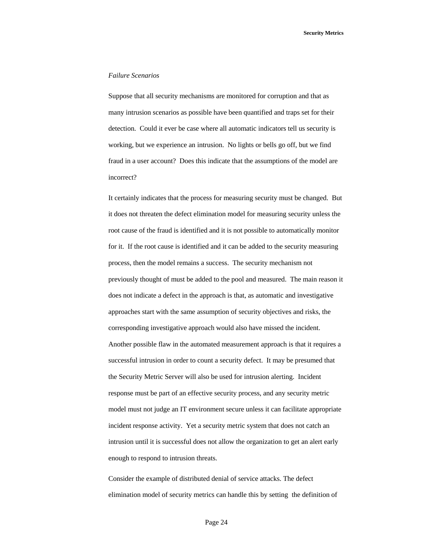## *Failure Scenarios*

Suppose that all security mechanisms are monitored for corruption and that as many intrusion scenarios as possible have been quantified and traps set for their detection. Could it ever be case where all automatic indicators tell us security is working, but we experience an intrusion. No lights or bells go off, but we find fraud in a user account? Does this indicate that the assumptions of the model are incorrect?

It certainly indicates that the process for measuring security must be changed. But it does not threaten the defect elimination model for measuring security unless the root cause of the fraud is identified and it is not possible to automatically monitor for it. If the root cause is identified and it can be added to the security measuring process, then the model remains a success. The security mechanism not previously thought of must be added to the pool and measured. The main reason it does not indicate a defect in the approach is that, as automatic and investigative approaches start with the same assumption of security objectives and risks, the corresponding investigative approach would also have missed the incident. Another possible flaw in the automated measurement approach is that it requires a successful intrusion in order to count a security defect. It may be presumed that the Security Metric Server will also be used for intrusion alerting. Incident response must be part of an effective security process, and any security metric model must not judge an IT environment secure unless it can facilitate appropriate incident response activity. Yet a security metric system that does not catch an intrusion until it is successful does not allow the organization to get an alert early enough to respond to intrusion threats.

Consider the example of distributed denial of service attacks. The defect elimination model of security metrics can handle this by setting the definition of